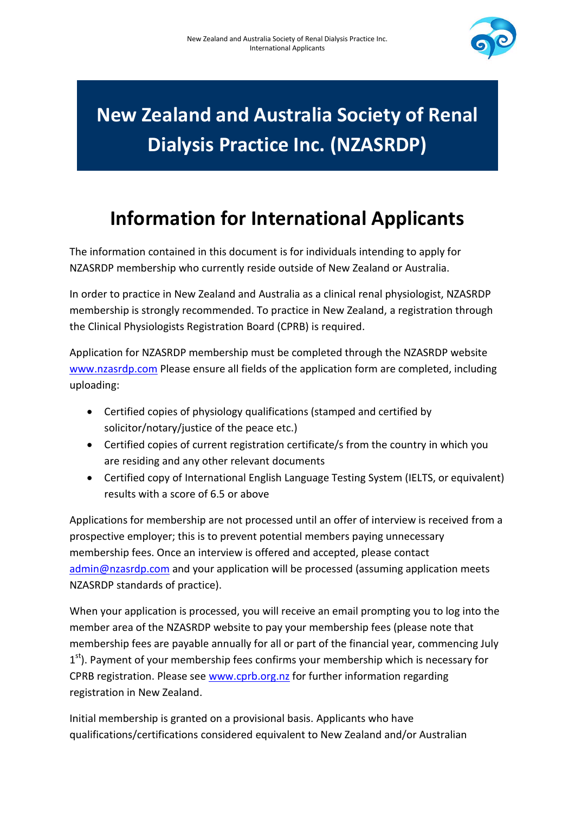

## **New Zealand and Australia Society of Renal Dialysis Practice Inc. (NZASRDP)**

## **Information for International Applicants**

The information contained in this document is for individuals intending to apply for NZASRDP membership who currently reside outside of New Zealand or Australia.

In order to practice in New Zealand and Australia as a clinical renal physiologist, NZASRDP membership is strongly recommended. To practice in New Zealand, a registration through the Clinical Physiologists Registration Board (CPRB) is required.

Application for NZASRDP membership must be completed through the NZASRDP website [www.nzasrdp.com](http://www.nzasrdp.com/) Please ensure all fields of the application form are completed, including uploading:

- Certified copies of physiology qualifications (stamped and certified by solicitor/notary/justice of the peace etc.)
- Certified copies of current registration certificate/s from the country in which you are residing and any other relevant documents
- Certified copy of International English Language Testing System (IELTS, or equivalent) results with a score of 6.5 or above

Applications for membership are not processed until an offer of interview is received from a prospective employer; this is to prevent potential members paying unnecessary membership fees. Once an interview is offered and accepted, please contact [admin@nzasrdp.com](mailto:admin@nzasrdp.com) and your application will be processed (assuming application meets NZASRDP standards of practice).

When your application is processed, you will receive an email prompting you to log into the member area of the NZASRDP website to pay your membership fees (please note that membership fees are payable annually for all or part of the financial year, commencing July 1<sup>st</sup>). Payment of your membership fees confirms your membership which is necessary for CPRB registration. Please see [www.cprb.org.nz](http://www.cprb.org.nz/) for further information regarding registration in New Zealand.

Initial membership is granted on a provisional basis. Applicants who have qualifications/certifications considered equivalent to New Zealand and/or Australian